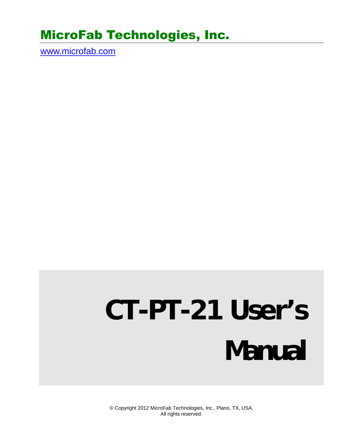# MicroFab Technologies, Inc.

www.microfab.com

# **CT-PT-21 User's Manual**

© Copyright 2012 MicroFab Technologies, Inc., Plano, TX, USA. All rights reserved.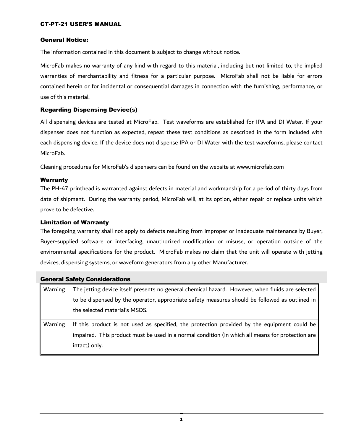#### General Notice:

The information contained in this document is subject to change without notice.

MicroFab makes no warranty of any kind with regard to this material, including but not limited to, the implied warranties of merchantability and fitness for a particular purpose. MicroFab shall not be liable for errors contained herein or for incidental or consequential damages in connection with the furnishing, performance, or use of this material.

#### Regarding Dispensing Device(s)

All dispensing devices are tested at MicroFab. Test waveforms are established for IPA and DI Water. If your dispenser does not function as expected, repeat these test conditions as described in the form included with each dispensing device. If the device does not dispense IPA or DI Water with the test waveforms, please contact MicroFab.

Cleaning procedures for MicroFab's dispensers can be found on the website at www.microfab.com

#### Warranty

The PH-47 printhead is warranted against defects in material and workmanship for a period of thirty days from date of shipment. During the warranty period, MicroFab will, at its option, either repair or replace units which prove to be defective.

#### Limitation of Warranty

The foregoing warranty shall not apply to defects resulting from improper or inadequate maintenance by Buyer, Buyer-supplied software or interfacing, unauthorized modification or misuse, or operation outside of the environmental specifications for the product. MicroFab makes no claim that the unit will operate with jetting devices, dispensing systems, or waveform generators from any other Manufacturer.

| <b>General Safety Considerations</b> |                                                                                                  |
|--------------------------------------|--------------------------------------------------------------------------------------------------|
| Warning                              | The jetting device itself presents no general chemical hazard. However, when fluids are selected |
|                                      | to be dispensed by the operator, appropriate safety measures should be followed as outlined in   |
|                                      | the selected material's MSDS.                                                                    |
| Warning                              | If this product is not used as specified, the protection provided by the equipment could be      |
|                                      | impaired. This product must be used in a normal condition (in which all means for protection are |
|                                      | intact) only.                                                                                    |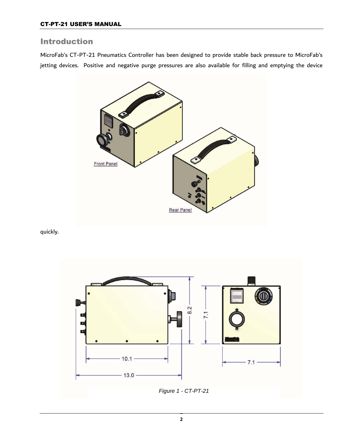## Introduction

MicroFab's CT-PT-21 Pneumatics Controller has been designed to provide stable back pressure to MicroFab's jetting devices. Positive and negative purge pressures are also available for filling and emptying the device



quickly.

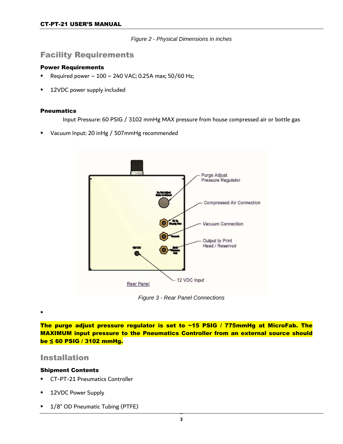*Figure 2 - Physical Dimensions in inches*

### Facility Requirements

#### Power Requirements

- **P** Required power  $100 240$  VAC; 0.25A max;  $50/60$  Hz;
- 12VDC power supply included

#### **Pneumatics**

Input Pressure: 60 PSIG / 3102 mmHg MAX pressure from house compressed air or bottle gas

Vacuum Input: 20 inHg / 507mmHg recommended



*Figure 3 - Rear Panel Connections* 

The purge adjust pressure regulator is set to ~15 PSIG / 775mmHg at MicroFab. The MAXIMUM input pressure to the Pneumatics Controller from an external source should be ≤ 60 PSIG / 3102 mmHg.

#### Installation

.

#### Shipment Contents

- CT-PT-21 Pneumatics Controller
- 12VDC Power Supply
- 1/8" OD Pneumatic Tubing (PTFE)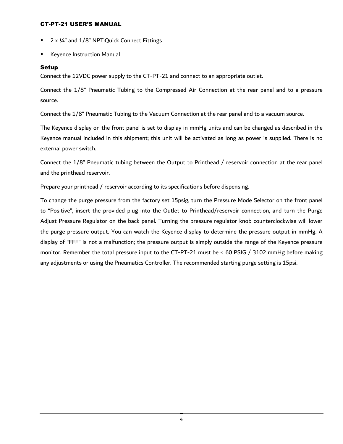- 2 x ¼" and 1/8" NPT:Quick Connect Fittings
- Keyence Instruction Manual

#### Setup

Connect the 12VDC power supply to the CT-PT-21 and connect to an appropriate outlet.

Connect the 1/8" Pneumatic Tubing to the Compressed Air Connection at the rear panel and to a pressure source.

Connect the 1/8" Pneumatic Tubing to the Vacuum Connection at the rear panel and to a vacuum source.

The Keyence display on the front panel is set to display in mmHg units and can be changed as described in the Keyence manual included in this shipment; this unit will be activated as long as power is supplied. There is no external power switch.

Connect the 1/8" Pneumatic tubing between the Output to Printhead / reservoir connection at the rear panel and the printhead reservoir.

Prepare your printhead / reservoir according to its specifications before dispensing.

To change the purge pressure from the factory set 15psig, turn the Pressure Mode Selector on the front panel to "Positive", insert the provided plug into the Outlet to Printhead/reservoir connection, and turn the Purge Adjust Pressure Regulator on the back panel. Turning the pressure regulator knob counterclockwise will lower the purge pressure output. You can watch the Keyence display to determine the pressure output in mmHg. A display of "FFF" is not a malfunction; the pressure output is simply outside the range of the Keyence pressure monitor. Remember the total pressure input to the CT-PT-21 must be  $\leq 60$  PSIG / 3102 mmHg before making any adjustments or using the Pneumatics Controller. The recommended starting purge setting is 15psi.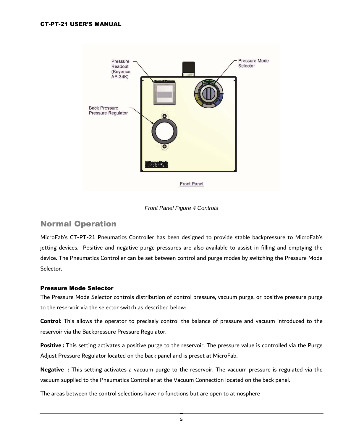

#### *Front Panel Figure 4 Controls*

# Normal Operation

MicroFab's CT-PT-21 Pneumatics Controller has been designed to provide stable backpressure to MicroFab's jetting devices. Positive and negative purge pressures are also available to assist in filling and emptying the device. The Pneumatics Controller can be set between control and purge modes by switching the Pressure Mode Selector.

#### Pressure Mode Selector

The Pressure Mode Selector controls distribution of control pressure, vacuum purge, or positive pressure purge to the reservoir via the selector switch as described below:

**Control**: This allows the operator to precisely control the balance of pressure and vacuum introduced to the reservoir via the Backpressure Pressure Regulator.

**Positive :** This setting activates a positive purge to the reservoir. The pressure value is controlled via the Purge Adjust Pressure Regulator located on the back panel and is preset at MicroFab.

**Negative :** This setting activates a vacuum purge to the reservoir. The vacuum pressure is regulated via the vacuum supplied to the Pneumatics Controller at the Vacuum Connection located on the back panel.

The areas between the control selections have no functions but are open to atmosphere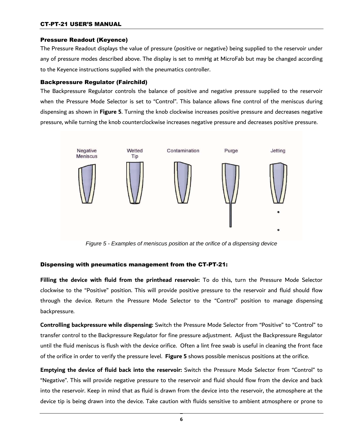#### Pressure Readout (Keyence)

The Pressure Readout displays the value of pressure (positive or negative) being supplied to the reservoir under any of pressure modes described above. The display is set to mmHg at MicroFab but may be changed according to the Keyence instructions supplied with the pneumatics controller.

#### Backpressure Regulator (Fairchild)

The Backpressure Regulator controls the balance of positive and negative pressure supplied to the reservoir when the Pressure Mode Selector is set to "Control". This balance allows fine control of the meniscus during dispensing as shown in **Figure 5**. Turning the knob clockwise increases positive pressure and decreases negative pressure, while turning the knob counterclockwise increases negative pressure and decreases positive pressure.



*Figure 5 - Examples of meniscus position at the orifice of a dispensing device*

#### Dispensing with pneumatics management from the CT-PT-21:

**Filling the device with fluid from the printhead reservoir:** To do this, turn the Pressure Mode Selector clockwise to the "Positive" position. This will provide positive pressure to the reservoir and fluid should flow through the device. Return the Pressure Mode Selector to the "Control" position to manage dispensing backpressure.

**Controlling backpressure while dispensing:** Switch the Pressure Mode Selector from "Positive" to "Control" to transfer control to the Backpressure Regulator for fine pressure adjustment. Adjust the Backpressure Regulator until the fluid meniscus is flush with the device orifice. Often a lint free swab is useful in cleaning the front face of the orifice in order to verify the pressure level. **Figure 5** shows possible meniscus positions at the orifice.

**Emptying the device of fluid back into the reservoir:** Switch the Pressure Mode Selector from "Control" to "Negative". This will provide negative pressure to the reservoir and fluid should flow from the device and back into the reservoir. Keep in mind that as fluid is drawn from the device into the reservoir, the atmosphere at the device tip is being drawn into the device. Take caution with fluids sensitive to ambient atmosphere or prone to